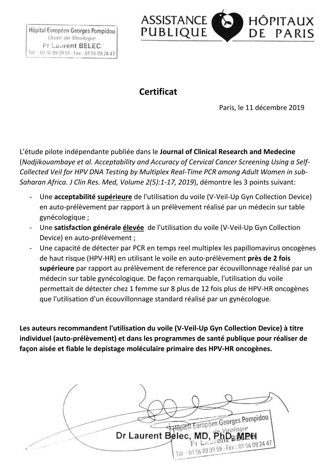

## **Certificat**

Paris, le 11 décembre 2019

L'étude pilote indépendante publiée dans le **Journal of Clinical Research and Medecine** (*Nodjikouambaye et al. Acceptability and Accuracy of Cervical Cancer Screening Using a Self-Collected Veil for HPV DNA Testing by Multiplex Real-Time PCR among Adult Women in sub-Saharan Africa. J Clin Res. Med, Volume 2(5):1-17, 2019*), démontre les 3 points suivant:

- Une **acceptabilité supérieure** de l'utilisation du voile (V-Veil-Up Gyn Collection Device) en auto-prélèvement par rapport à un prélèvement réalisé par un médecin sur table gynécologique ;
- Une **satisfaction générale élevée** de l'utilisation du voile (V-Veil-Up Gyn Collection Device) en auto-prélèvement ;
- Une capacité de détecter par PCR en temps reel multiplex les papillomavirus oncogènes de haut risque (HPV-HR) en utilisant le voile en auto-prélèvement **près de 2 fois supérieure** par rapport au prélèvement de reference par écouvillonnage réalisé par un médecin sur table gynécologique. De façon remarquable, l'utilisation du voile permettait de détecter chez 1 femme sur 8 plus de 12 fois plus de HPV-HR oncogènes que l'utilisation d'un écouvillonnage standard réalisé par un gynécologue.

**Les auteurs recommandent l'utilisation du voile (V-Veil-Up Gyn Collection Device) à titre individuel (auto-prélèvement) et dans les programmes de santé publique pour réaliser de façon aisée et fiable le depistage moléculaire primaire des HPV-HR oncogènes.**

Hopftal Europeen Georges Pompidou Dr Laurent Belec, MD, PhD Tél : 0156 09 39 59 - Fax : 01 56 09 24 47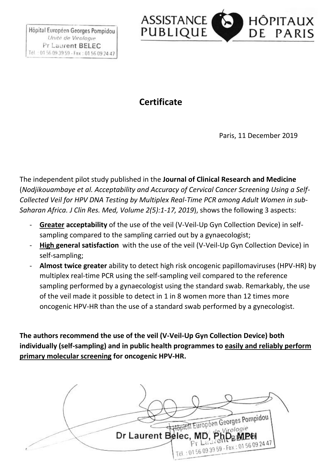

#### **Certificate**

Paris, 11 December 2019

The independent pilot study published in the **Journal of Clinical Research and Medicine** (*Nodjikouambaye et al. Acceptability and Accuracy of Cervical Cancer Screening Using a Self-Collected Veil for HPV DNA Testing by Multiplex Real-Time PCR among Adult Women in sub-Saharan Africa. J Clin Res. Med, Volume 2(5):1-17, 2019*), shows the following 3 aspects:

- **Greater acceptability** of the use of the veil (V-Veil-Up Gyn Collection Device) in selfsampling compared to the sampling carried out by a gynaecologist;
- **High general satisfaction** with the use of the veil (V-Veil-Up Gyn Collection Device) in self-sampling;
- **Almost twice greater** ability to detect high risk oncogenic papillomaviruses (HPV-HR) by multiplex real-time PCR using the self-sampling veil compared to the reference sampling performed by a gynaecologist using the standard swab. Remarkably, the use of the veil made it possible to detect in 1 in 8 women more than 12 times more oncogenic HPV-HR than the use of a standard swab performed by a gynecologist.

**The authors recommend the use of the veil (V-Veil-Up Gyn Collection Device) both individually (self-sampling) and in public health programmes to easily and reliably perform primary molecular screening for oncogenic HPV-HR.**

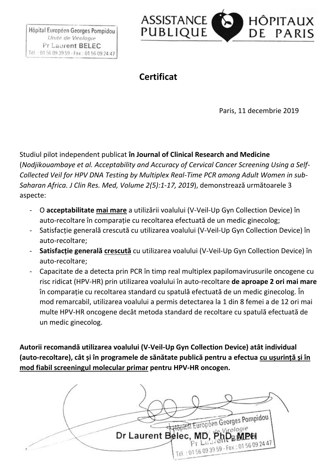

# **Certificat**

Paris, 11 decembrie 2019

Studiul pilot independent publicat **în Journal of Clinical Research and Medicine** (*Nodjikouambaye et al. Acceptability and Accuracy of Cervical Cancer Screening Using a Self-Collected Veil for HPV DNA Testing by Multiplex Real-Time PCR among Adult Women in sub-Saharan Africa. J Clin Res. Med, Volume 2(5):1-17, 2019*), demonstrează următoarele 3 aspecte:

- O **acceptabilitate mai mare** a utilizării voalului (V-Veil-Up Gyn Collection Device) în auto-recoltare în comparație cu recoltarea efectuată de un medic ginecolog;
- Satisfacție generală crescută cu utilizarea voalului (V-Veil-Up Gyn Collection Device) în auto-recoltare;
- **Satisfacție generală crescută** cu utilizarea voalului (V-Veil-Up Gyn Collection Device) în auto-recoltare;
- Capacitate de a detecta prin PCR în timp real multiplex papilomavirusurile oncogene cu risc ridicat (HPV-HR) prin utilizarea voalului în auto-recoltare **de aproape 2 ori mai mare** în comparație cu recoltarea standard cu spatulă efectuată de un medic ginecolog. În mod remarcabil, utilizarea voalului a permis detectarea la 1 din 8 femei a de 12 ori mai multe HPV-HR oncogene decât metoda standard de recoltare cu spatulă efectuată de un medic ginecolog.

**Autorii recomandă utilizarea voalului (V-Veil-Up Gyn Collection Device) atât individual (auto-recoltare), cât și în programele de sănătate publică pentru a efectua cu ușurință și în mod fiabil screeningul molecular primar pentru HPV-HR oncogen.**

Hopital Européen Georges Pompidou Virologie Dr Laurent Belec, MD, PhD<sub>B</sub>MPH Tél : 0156 09 39 59 - Fax : 01 56 09 24 47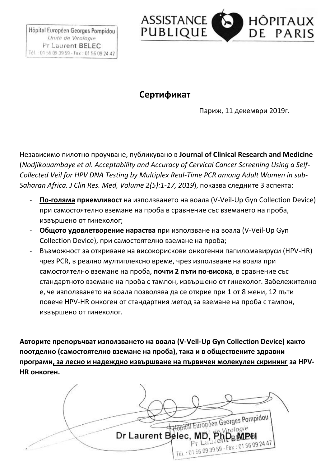

#### **Ceртификат**

Париж, 11 декември 2019г.

Независимо пилотно проучване, публикувано в **Journal of Clinical Research and Medicine** (*Nodjikouambaye et al. Acceptability and Accuracy of Cervical Cancer Screening Using a Self-Collected Veil for HPV DNA Testing by Multiplex Real-Time PCR among Adult Women in sub-Saharan Africa. J Clin Res. Med, Volume 2(5):1-17, 2019*), показва следните 3 аспекта:

- **По-голяма приемливост** на използването на воала (V-Veil-Up Gyn Collection Device) при самостоятелно вземане на проба в сравнение със вземането на проба, извършено от гинеколог;
- **Общото удовлетворение нараства** при използване на воала (V-Veil-Up Gyn Collection Device), при самостоятелно вземане на проба;
- Възможност за откриване на високорискови онкогенни папиломавируси (HPV-HR) чрез PCR, в реално мултиплексно време, чрез използване на воала при самостоятелно вземане на проба, **почти 2 пъти по-висока**, в сравнение със стандартното вземане на проба с тампон, извършено от гинеколог. Забележително е, че използването на воала позволява да се открие при 1 от 8 жени, 12 пъти повече HPV-HR онкоген от стандартния метод за вземане на проба с тампон, извършено от гинеколог.

**Авторите препоръчват използването на воала (V-Veil-Up Gyn Collection Device) както поотделно (самостоятелно вземане на проба), така и в обществените здравни програми, за лесно и надеждно извършване на първичен молекулен скрининг за HPV-HR онкоген.**

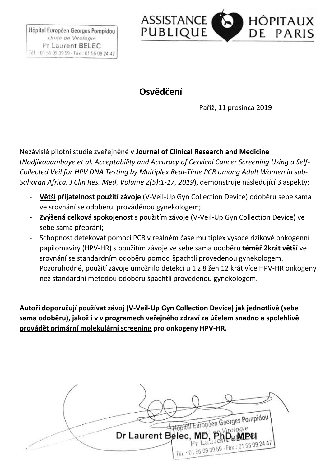

## **Osvědčení**

Paříž, 11 prosinca 2019

Nezávislé pilotní studie zveřejněné v **Journal of Clinical Research and Medicine** (*Nodjikouambaye et al. Acceptability and Accuracy of Cervical Cancer Screening Using a Self-Collected Veil for HPV DNA Testing by Multiplex Real-Time PCR among Adult Women in sub-Saharan Africa. J Clin Res. Med, Volume 2(5):1-17, 2019*), demonstruje následující 3 aspekty:

- **Větší přijatelnost použití závoje** (V-Veil-Up Gyn Collection Device) odoběru sebe sama ve srovnání se odoběru prováděnou gynekologem;
- **Zvýšená celková spokojenost** s použitím závoje (V-Veil-Up Gyn Collection Device) ve sebe sama přebrání;
- Schopnost detekovat pomocí PCR v reálném čase multiplex vysoce rizikové onkogenní papilomaviry (HPV-HR) s použitím závoje ve sebe sama odoběru **téměř 2krát větší** ve srovnání se standardním odoběru pomoci špachtlí provedenou gynekologem. Pozoruhodné, použití závoje umožnilo detekci u 1 z 8 žen 12 krát více HPV-HR onkogeny než standardní metodou odoběru špachtlí provedenou gynekologem.

**Autoři doporučují používat závoj (V-Veil-Up Gyn Collection Device) jak jednotlivě (sebe sama odoběru), jakož i v v programech veřejného zdraví za účelem snadno a spolehlivě provádět primární molekulární screening pro onkogeny HPV-HR.**

Hopital Européen Georges Pompidou Dr Laurent Belec, MD, PhD Tél : 0156 09 39 59 - Fax : 01 56 09 24 47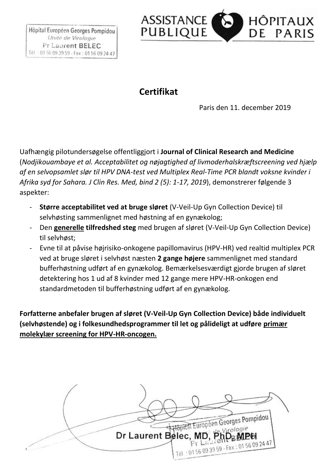

## **Certifikat**

Paris den 11. december 2019

Uafhængig pilotundersøgelse offentliggjort i **Journal of Clinical Research and Medicine** (*Nodjikouambaye et al. Acceptabilitet og nøjagtighed af livmoderhalskræftscreening ved hjælp af en selvopsamlet slør til HPV DNA-test ved Multiplex Real-Time PCR blandt voksne kvinder i Afrika syd for Sahara. J Clin Res. Med, bind 2 (5): 1-17, 2019*), demonstrerer følgende 3 aspekter:

- **Større acceptabilitet ved at bruge sløret** (V-Veil-Up Gyn Collection Device) til selvhøsting sammenlignet med høstning af en gynækolog;
- Den **generelle tilfredshed steg** med brugen af sløret (V-Veil-Up Gyn Collection Device) til selvhøst;
- Evne til at påvise højrisiko-onkogene papillomavirus (HPV-HR) ved realtid multiplex PCR ved at bruge sløret i selvhøst næsten **2 gange højere** sammenlignet med standard bufferhøstning udført af en gynækolog. Bemærkelsesværdigt gjorde brugen af sløret detektering hos 1 ud af 8 kvinder med 12 gange mere HPV-HR-onkogen end standardmetoden til bufferhøstning udført af en gynækolog.

**Forfatterne anbefaler brugen af sløret (V-Veil-Up Gyn Collection Device) både individuelt (selvhøstende) og i folkesundhedsprogrammer til let og pålideligt at udføre primær molekylær screening for HPV-HR-oncogen.**

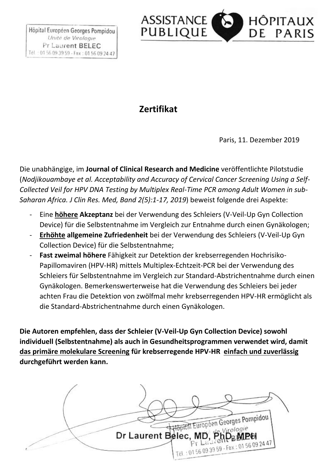

### **Zertifikat**

Paris, 11. Dezember 2019

Die unabhängige, im **Journal of Clinical Research and Medicine** veröffentlichte Pilotstudie (*Nodjikouambaye et al. Acceptability and Accuracy of Cervical Cancer Screening Using a Self-Collected Veil for HPV DNA Testing by Multiplex Real-Time PCR among Adult Women in sub-Saharan Africa. J Clin Res. Med, Band 2(5):1-17, 2019*) beweist folgende drei Aspekte:

- Eine **höhere Akzeptanz** bei der Verwendung des Schleiers (V-Veil-Up Gyn Collection Device) für die Selbstentnahme im Vergleich zur Entnahme durch einen Gynäkologen;
- **Erhöhte allgemeine Zufriedenheit** bei der Verwendung des Schleiers (V-Veil-Up Gyn Collection Device) für die Selbstentnahme;
- **Fast zweimal höhere** Fähigkeit zur Detektion der krebserregenden Hochrisiko-Papillomaviren (HPV-HR) mittels Multiplex-Echtzeit-PCR bei der Verwendung des Schleiers für Selbstentnahme im Vergleich zur Standard-Abstrichentnahme durch einen Gynäkologen. Bemerkenswerterweise hat die Verwendung des Schleiers bei jeder achten Frau die Detektion von zwölfmal mehr krebserregenden HPV-HR ermöglicht als die Standard-Abstrichentnahme durch einen Gynäkologen.

**Die Autoren empfehlen, dass der Schleier (V-Veil-Up Gyn Collection Device) sowohl individuell (Selbstentnahme) als auch in Gesundheitsprogrammen verwendet wird, damit das primäre molekulare Screening für krebserregende HPV-HR einfach und zuverlässig durchgeführt werden kann.**

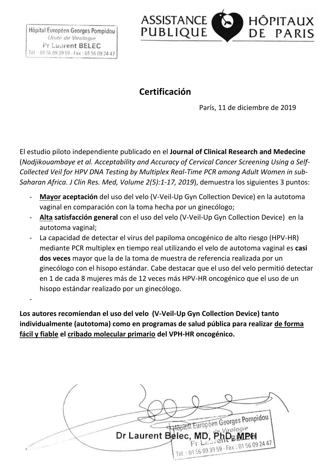-



## **Certificación**

París, 11 de diciembre de 2019

El estudio piloto independiente publicado en el **Journal of Clinical Research and Medecine** (*Nodjikouambaye et al. Acceptability and Accuracy of Cervical Cancer Screening Using a Self-Collected Veil for HPV DNA Testing by Multiplex Real-Time PCR among Adult Women in sub-Saharan Africa. J Clin Res. Med, Volume 2(5):1-17, 2019*), demuestra los siguientes 3 puntos:

- **Mayor aceptación** del uso del velo (V-Veil-Up Gyn Collection Device) en la autotoma vaginal en comparación con la toma hecha por un ginecólogo;
- **Alta satisfacción general** con el uso del velo (V-Veil-Up Gyn Collection Device) en la autotoma vaginal;
- La capacidad de detectar el virus del papiloma oncogénico de alto riesgo (HPV-HR) mediante PCR multiplex en tiempo real utilizando el velo de autotoma vaginal es **casi dos veces** mayor que la de la toma de muestra de referencia realizada por un ginecólogo con el hisopo estándar. Cabe destacar que el uso del velo permitió detectar en 1 de cada 8 mujeres más de 12 veces más HPV-HR oncogénico que el uso de un hisopo estándar realizado por un ginecólogo.

**Los autores recomiendan el uso del velo (V-Veil-Up Gyn Collection Device) tanto individualmente (autotoma) como en programas de salud pública para realizar de forma fácil y fiable el cribado molecular primario del VPH-HR oncogénico.**

Hopital Européen Georges Pompidou Dr Laurent Belec, MD, Php Tél : 0156 09 39 59 - Fax : 01 56 09 24 47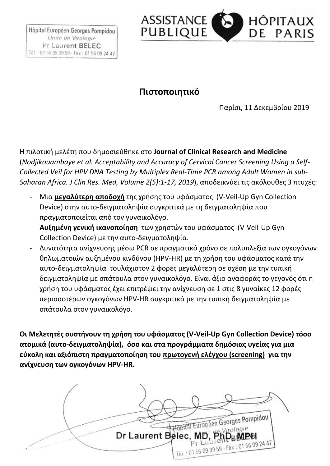

## **Πιστοποιητικό**

Παρίσι, 11 Δεκεμβρίου 2019

Η πιλοτική μελέτη που δημοσιεύθηκε στο **Journal of Clinical Research and Medicine**  (*Nodjikouambaye et al. Acceptability and Accuracy of Cervical Cancer Screening Using a Self-Collected Veil for HPV DNA Testing by Multiplex Real-Time PCR among Adult Women in sub-Saharan Africa. J Clin Res. Med, Volume 2(5):1-17, 2019*), αποδεικνύει τις ακόλουθες 3 πτυχές:

- Μια **μεγαλύτερη αποδοχή** της χρήσης του υφάσματος (V-Veil-Up Gyn Collection Device) στην αυτο-δειγματοληψία συγκριτικά με τη δειγματοληψία που πραγματοποιείται από τον γυναικολόγο.
- **Αυξημένη γενική ικανοποίηση** των χρηστών του υφάσματος (V-Veil-Up Gyn Collection Device) με την αυτο-δειγματοληψία.
- Δυνατότητα ανίχνευσης μέσω PCR σε πραγματικό χρόνο σε πολυπλεξία των ογκογόνων θηλωματοϊών αυξημένου κινδύνου (HPV-HR) με τη χρήση του υφάσματος κατά την αυτο-δειγματοληψία τουλάχιστον 2 φορές μεγαλύτερη σε σχέση με την τυπική δειγματοληψία με σπάτουλα στον γυναικολόγο. Είναι άξιο αναφοράς το γεγονός ότι η χρήση του υφάσματος έχει επιτρέψει την ανίχνευση σε 1 στις 8 γυναίκες 12 φορές περισσοτέρων ογκογόνων HPV-HR συγκριτικά με την τυπική δειγματοληψία με σπάτουλα στον γυναικολόγο.

**Οι Μελετητές συστήνουν τη χρήση του υφάσματος (V-Veil-Up Gyn Collection Device) τόσο ατομικά (αυτο-δειγματοληψία), όσο και στα προγράμματα δημόσιας υγείας για μια εύκολη και αξιόπιστη πραγματοποίηση του πρωτογενή ελέγχου (screening) για την ανίχνευση των ογκογόνων HPV-HR.**

Hopftal Européen Georges Pompidou Virologie Dr Laurent Belec, MD, PhD<sub>B</sub>MPH Tél : 0156 09 39 59 - Fax : 01 56 09 24 47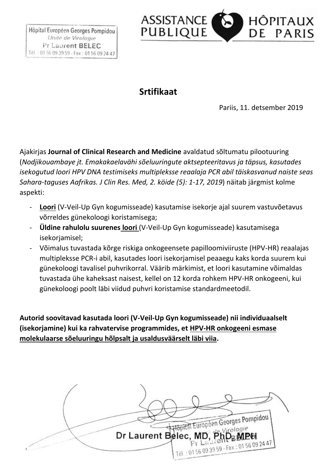

### **Srtifikaat**

Pariis, 11. detsember 2019

Ajakirjas **Journal of Clinical Research and Medicine** avaldatud sõltumatu pilootuuring (*Nodjikouambaye jt. Emakakaelavähi sõeluuringute aktsepteeritavus ja täpsus, kasutades isekogutud loori HPV DNA testimiseks multipleksse reaalaja PCR abil täiskasvanud naiste seas Sahara-taguses Aafrikas. J Clin Res. Med, 2. köide (5): 1-17, 2019*) näitab järgmist kolme aspekti:

- **Loori** (V-Veil-Up Gyn kogumisseade) kasutamise isekorje ajal suurem vastuvõetavus võrreldes günekoloogi koristamisega;
- **Üldine rahulolu suurenes loori** (V-Veil-Up Gyn kogumisseade) kasutamisega isekorjamisel;
- Võimalus tuvastada kõrge riskiga onkogeensete papilloomiviiruste (HPV-HR) reaalajas multipleksse PCR-i abil, kasutades loori isekorjamisel peaaegu kaks korda suurem kui günekoloogi tavalisel puhvrikorral. Väärib märkimist, et loori kasutamine võimaldas tuvastada ühe kaheksast naisest, kellel on 12 korda rohkem HPV-HR onkogeeni, kui günekoloogi poolt läbi viidud puhvri koristamise standardmeetodil.

**Autorid soovitavad kasutada loori (V-Veil-Up Gyn kogumisseade) nii individuaalselt (isekorjamine) kui ka rahvatervise programmides, et HPV-HR onkogeeni esmase molekulaarse sõeluuringu hõlpsalt ja usaldusväärselt läbi viia.**

Hopftal Europeen Georges Pompidou Dr Laurent Belec, MD, Php Tél : 0156 09 39 59 - Fax : 01 56 09 24 47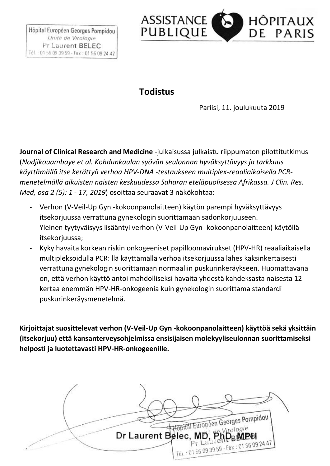

#### **Todistus**

Pariisi, 11. joulukuuta 2019

**Journal of Clinical Research and Medicine** -julkaisussa julkaistu riippumaton pilottitutkimus (*Nodjikouambaye et al. Kohdunkaulan syövän seulonnan hyväksyttävyys ja tarkkuus käyttämällä itse kerättyä verhoa HPV-DNA -testaukseen multiplex-reaaliaikaisella PCRmenetelmällä aikuisten naisten keskuudessa Saharan eteläpuolisessa Afrikassa. J Clin. Res. Med, osa 2 (5): 1 - 17, 2019*) osoittaa seuraavat 3 näkökohtaa:

- Verhon (V-Veil-Up Gyn -kokoonpanolaitteen) käytön parempi hyväksyttävyys itsekorjuussa verrattuna gynekologin suorittamaan sadonkorjuuseen.
- Yleinen tyytyväisyys lisääntyi verhon (V-Veil-Up Gyn -kokoonpanolaitteen) käytöllä itsekorjuussa;
- Kyky havaita korkean riskin onkogeeniset papilloomavirukset (HPV-HR) reaaliaikaisella multipleksoidulla PCR: llä käyttämällä verhoa itsekorjuussa lähes kaksinkertaisesti verrattuna gynekologin suorittamaan normaaliin puskurinkeräykseen. Huomattavana on, että verhon käyttö antoi mahdolliseksi havaita yhdestä kahdeksasta naisesta 12 kertaa enemmän HPV-HR-onkogeenia kuin gynekologin suorittama standardi puskurinkeräysmenetelmä.

**Kirjoittajat suosittelevat verhon (V-Veil-Up Gyn -kokoonpanolaitteen) käyttöä sekä yksittäin (itsekorjuu) että kansanterveysohjelmissa ensisijaisen molekyyliseulonnan suorittamiseksi helposti ja luotettavasti HPV-HR-onkogeenille.**

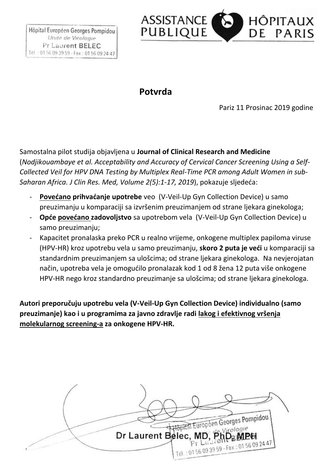

#### **Potvrda**

Pariz 11 Prosinac 2019 godine

Samostalna pilot studija objavljena u **Journal of Clinical Research and Medicine** (*Nodjikouambaye et al. Acceptability and Accuracy of Cervical Cancer Screening Using a Self-Collected Veil for HPV DNA Testing by Multiplex Real-Time PCR among Adult Women in sub-Saharan Africa. J Clin Res. Med, Volume 2(5):1-17, 2019*), pokazuje sljedeća:

- **Povećano prihvaćanje upotrebe** veo (V-Veil-Up Gyn Collection Device) u samo preuzimanju u komparaciji sa izvršenim preuzimanjem od strane ljekara ginekologa;
- **Opće povećano zadovoljstvo** sa upotrebom vela (V-Veil-Up Gyn Collection Device) u samo preuzimanju;
- Kapacitet pronalaska preko PCR u realno vrijeme, onkogene multiplex papiloma viruse (HPV-HR) kroz upotrebu vela u samo preuzimanju, **skoro 2 puta je veći** u komparaciji sa standardnim preuzimanjem sa ulošcima; od strane ljekara ginekologa. Na nevjerojatan način, upotreba vela je omogućilo pronalazak kod 1 od 8 žena 12 puta više onkogene HPV-HR nego kroz standardno preuzimanje sa ulošcima; od strane ljekara ginekologa.

**Autori preporučuju upotrebu vela (V-Veil-Up Gyn Collection Device) individualno (samo preuzimanje) kao i u programima za javno zdravlje radi lakog i efektivnog vršenja molekularnog screening-a za onkogene HPV-HR.**

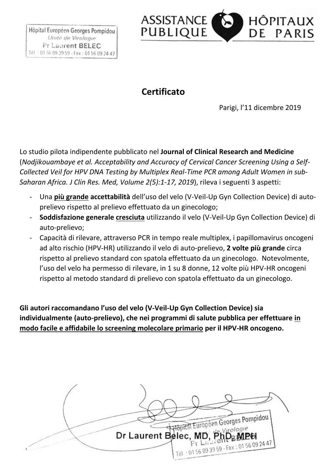

# **Certificato**

Parigi, l'11 dicembre 2019

Lo studio pilota indipendente pubblicato nel **Journal of Clinical Research and Medicine** (*Nodjikouambaye et al. Acceptability and Accuracy of Cervical Cancer Screening Using a Self-Collected Veil for HPV DNA Testing by Multiplex Real-Time PCR among Adult Women in sub-Saharan Africa. J Clin Res. Med, Volume 2(5):1-17, 2019*), rileva i seguenti 3 aspetti:

- Una **più grande accettabilità** dell'uso del velo (V-Veil-Up Gyn Collection Device) di autoprelievo rispetto al prelievo effettuato da un ginecologo;
- **Soddisfazione generale cresciuta** utilizzando il velo (V-Veil-Up Gyn Collection Device) di auto-prelievo;
- Capacità di rilevare, attraverso PCR in tempo reale multiplex, i papillomavirus oncogeni ad alto rischio (HPV-HR) utilizzando il velo di auto-prelievo, **2 volte più grande** circa rispetto al prelievo standard con spatola effettuato da un ginecologo. Notevolmente, l'uso del velo ha permesso di rilevare, in 1 su 8 donne, 12 volte più HPV-HR oncogeni rispetto al metodo standard di prelievo con spatola effettuato da un ginecologo.

**Gli autori raccomandano l'uso del velo (V-Veil-Up Gyn Collection Device) sia individualmente (auto-prelievo), che nei programmi di salute pubblica per effettuare in modo facile e affidabile lo screening molecolare primario per il HPV-HR oncogeno.**

Hopital Européen Georges Pompidou Virologie Dr Laurent Belec, MD, PhD<sub>B</sub>MPH Tél : 0156 09 39 59 - Fax : 01 56 09 24 47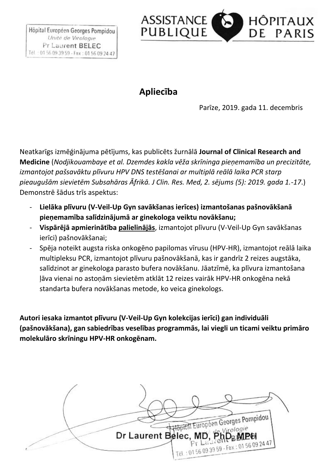

## **Apliecība**

Parīze, 2019. gada 11. decembris

Neatkarīgs izmēģinājuma pētījums, kas publicēts žurnālā **Journal of Clinical Research and Medicine** (*Nodjikouambaye et al. Dzemdes kakla vēža skrīninga pieņemamība un precizitāte, izmantojot pašsavāktu plīvuru HPV DNS testēšanai ar multiplā reālā laika PCR starp pieaugušām sievietēm Subsahāras Āfrikā. J Clin. Res. Med, 2. sējums (5): 2019. gada 1.-17*.) Demonstrē šādus trīs aspektus:

- **Lielāka plīvuru (V-Veil-Up Gyn savākšanas ierīces) izmantošanas pašnovākšanā pieņemamība salīdzinājumā ar ginekologa veiktu novākšanu;**
- **Vispārējā apmierinātība palielinājās**, izmantojot plīvuru (V-Veil-Up Gyn savākšanas ierīci) pašnovākšanai;
- Spēja noteikt augsta riska onkogēno papilomas vīrusu (HPV-HR), izmantojot reālā laika multipleksu PCR, izmantojot plīvuru pašnovākšanā, kas ir gandrīz 2 reizes augstāka, salīdzinot ar ginekologa parasto bufera novākšanu. Jāatzīmē, ka plīvura izmantošana ļāva vienai no astoņām sievietēm atklāt 12 reizes vairāk HPV-HR onkogēna nekā standarta bufera novākšanas metode, ko veica ginekologs.

**Autori iesaka izmantot plīvuru (V-Veil-Up Gyn kolekcijas ierīci) gan individuāli (pašnovākšana), gan sabiedrības veselības programmās, lai viegli un ticami veiktu primāro molekulāro skrīningu HPV-HR onkogēnam.**

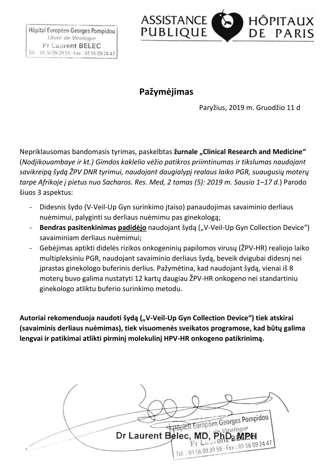

## **Pažymėjimas**

Paryžius, 2019 m. Gruodžio 11 d

Nepriklausomas bandomasis tyrimas, paskelbtas *žurnale "Clinical Research and Medicine*" (*Nodjikouambaye ir kt.) Gimdos kaklelio vėžio patikros priimtinumas ir tikslumas naudojant savikreipą šydą ŽPV DNR tyrimui, naudojant daugialypį realaus laiko PGR, suaugusių moterų tarpe Afrikoje į pietus nuo Sacharos. Res. Med, 2 tomas (5): 2019 m. Sausio 1–17 d*.) Parodo šiuos 3 aspektus:

- Didesnis šydo (V-Veil-Up Gyn surinkimo įtaiso) panaudojimas savaiminio derliaus nuėmimui, palyginti su derliaus nuėmimu pas ginekologą;
- **Bendras pasitenkinimas padidėjo** naudojant šydą ("V-Veil-Up Gyn Collection Device") savaiminiam derliaus nuėmimui;
- Gebėjimas aptikti didelės rizikos onkogeninių papilomos virusų (ŽPV-HR) realiojo laiko multipleksiniu PGR, naudojant savaiminio derliaus šydą, beveik dvigubai didesnį nei įprastas ginekologo buferinis derlius. Pažymėtina, kad naudojant šydą, vienai iš 8 moterų buvo galima nustatyti 12 kartų daugiau ŽPV-HR onkogeno nei standartiniu ginekologo atliktu buferio surinkimo metodu.

Autoriai rekomenduoja naudoti šydą ("V-Veil-Up Gyn Collection Device") tiek atskirai **(savaiminis derliaus nuėmimas), tiek visuomenės sveikatos programose, kad būtų galima lengvai ir patikimai atlikti pirminį molekulinį HPV-HR onkogeno patikrinimą.**

Hopital Européen Georges Pompidou Dr Laurent Belec, MD, PhD Tél : 0156 09 39 59 - Fax : 01 56 09 24 47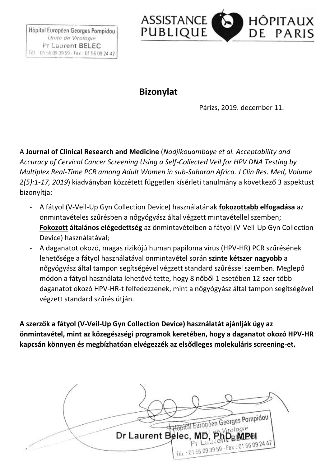

#### **Bizonylat**

Párizs, 2019. december 11.

A **Journal of Clinical Research and Medicine** (*Nodjikouambaye et al. Acceptability and Accuracy of Cervical Cancer Screening Using a Self-Collected Veil for HPV DNA Testing by Multiplex Real-Time PCR among Adult Women in sub-Saharan Africa. J Clin Res. Med, Volume 2(5):1-17, 2019*) kiadványban közzétett független kísérleti tanulmány a következő 3 aspektust bizonyítja:

- A fátyol (V-Veil-Up Gyn Collection Device) használatának **fokozottabb elfogadása** az önmintavételes szűrésben a nőgyógyász által végzett mintavétellel szemben;
- **Fokozott általános elégedettség** az önmintavételben a fátyol (V-Veil-Up Gyn Collection Device) használatával;
- A daganatot okozó, magas rizikójú human papiloma vírus (HPV-HR) PCR szűrésének lehetősége a fátyol használatával önmintavétel során **szinte kétszer nagyobb** a nőgyógyász által tampon segítségével végzett standard szűréssel szemben. Meglepő módon a fátyol használata lehetővé tette, hogy 8 nőből 1 esetében 12-szer több daganatot okozó HPV-HR-t felfedezzenek, mint a nőgyógyász által tampon segítségével végzett standard szűrés útján.

**A szerzők a fátyol (V-Veil-Up Gyn Collection Device) használatát ajánlják úgy az önmintavétel, mint az közegészségi programok keretében, hogy a daganatot okozó HPV-HR kapcsán könnyen és megbízhatóan elvégezzék az elsődleges molekuláris screening-et.**

Hopital Européen Georges Pompidou Virologie Dr Laurent Belec, MD, PhD<sub>B</sub>MPH Tél : 0156 09 39 59 - Fax : 01 56 09 24 47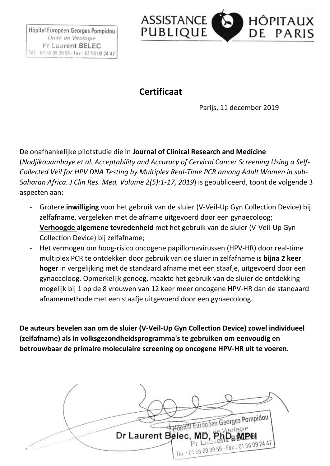

## **Certificaat**

Parijs, 11 december 2019

De onafhankelijke pilotstudie die in **Journal of Clinical Research and Medicine** (*Nodjikouambaye et al. Acceptability and Accuracy of Cervical Cancer Screening Using a Self-Collected Veil for HPV DNA Testing by Multiplex Real-Time PCR among Adult Women in sub-Saharan Africa. J Clin Res. Med, Volume 2(5):1-17, 2019*) is gepubliceerd, toont de volgende 3 aspecten aan:

- Grotere **inwilliging** voor het gebruik van de sluier (V-Veil-Up Gyn Collection Device) bij zelfafname, vergeleken met de afname uitgevoerd door een gynaecoloog;
- **Verhoogde algemene tevredenheid** met het gebruik van de sluier (V-Veil-Up Gyn Collection Device) bij zelfafname;
- Het vermogen om hoog-risico oncogene papillomavirussen (HPV-HR) door real-time multiplex PCR te ontdekken door gebruik van de sluier in zelfafname is **bijna 2 keer hoger** in vergelijking met de standaard afname met een staafje, uitgevoerd door een gynaecoloog. Opmerkelijk genoeg, maakte het gebruik van de sluier de ontdekking mogelijk bij 1 op de 8 vrouwen van 12 keer meer oncogene HPV-HR dan de standaard afnamemethode met een staafje uitgevoerd door een gynaecoloog.

**De auteurs bevelen aan om de sluier (V-Veil-Up Gyn Collection Device) zowel individueel (zelfafname) als in volksgezondheidsprogramma's te gebruiken om eenvoudig en betrouwbaar de primaire moleculaire screening op oncogene HPV-HR uit te voeren.**

Hopftal Europeen Georges Pompidou Dr Laurent Belec, MD, PhD Tél : 0156 09 39 59 - Fax : 01 56 09 24 47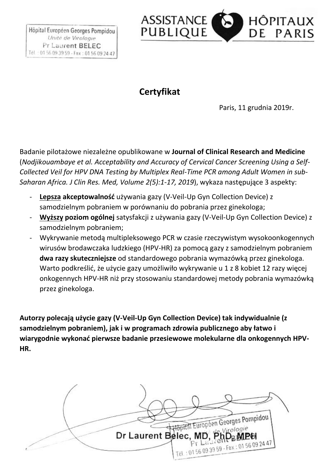

## **Certyfikat**

Paris, 11 grudnia 2019r.

Badanie pilotażowe niezależne opublikowane w **Journal of Clinical Research and Medicine** (*Nodjikouambaye et al. Acceptability and Accuracy of Cervical Cancer Screening Using a Self-Collected Veil for HPV DNA Testing by Multiplex Real-Time PCR among Adult Women in sub-Saharan Africa. J Clin Res. Med, Volume 2(5):1-17, 2019*), wykaza następujące 3 aspekty:

- **Lepsza akceptowalność** używania gazy (V-Veil-Up Gyn Collection Device) z samodzielnym pobraniem w porównaniu do pobrania przez ginekologa;
- **Wyższy poziom ogólnej** satysfakcji z używania gazy (V-Veil-Up Gyn Collection Device) z samodzielnym pobraniem;
- Wykrywanie metodą multipleksowego PCR w czasie rzeczywistym wysokoonkogennych wirusów brodawczaka ludzkiego (HPV-HR) za pomocą gazy z samodzielnym pobraniem **dwa razy skuteczniejsze** od standardowego pobrania wymazówką przez ginekologa. Warto podkreślić, że użycie gazy umożliwiło wykrywanie u 1 z 8 kobiet 12 razy więcej onkogennych HPV-HR niż przy stosowaniu standardowej metody pobrania wymazówką przez ginekologa.

**Autorzy polecają użycie gazy (V-Veil-Up Gyn Collection Device) tak indywidualnie (z samodzielnym pobraniem), jak i w programach zdrowia publicznego aby łatwo i wiarygodnie wykonać pierwsze badanie przesiewowe molekularne dla onkogennych HPV-HR.**

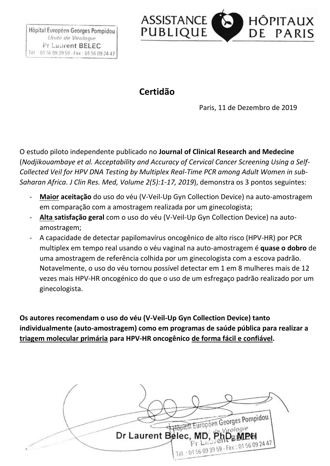

#### **Certidão**

Paris, 11 de Dezembro de 2019

O estudo piloto independente publicado no **Journal of Clinical Research and Medecine** (*Nodjikouambaye et al. Acceptability and Accuracy of Cervical Cancer Screening Using a Self-Collected Veil for HPV DNA Testing by Multiplex Real-Time PCR among Adult Women in sub-Saharan Africa. J Clin Res. Med, Volume 2(5):1-17, 2019*), demonstra os 3 pontos seguintes:

- **Maior aceitação** do uso do véu (V-Veil-Up Gyn Collection Device) na auto-amostragem em comparação com a amostragem realizada por um ginecologista;
- **Alta satisfação geral** com o uso do véu (V-Veil-Up Gyn Collection Device) na autoamostragem;
- A capacidade de detectar papilomavírus oncogênico de alto risco (HPV-HR) por PCR multiplex em tempo real usando o véu vaginal na auto-amostragem é **quase o dobro** de uma amostragem de referência colhida por um ginecologista com a escova padrão. Notavelmente, o uso do véu tornou possível detectar em 1 em 8 mulheres mais de 12 vezes mais HPV-HR oncogénico do que o uso de um esfregaço padrão realizado por um ginecologista.

**Os autores recomendam o uso do véu (V-Veil-Up Gyn Collection Device) tanto individualmente (auto-amostragem) como em programas de saúde pública para realizar a triagem molecular primária para HPV-HR oncogênico de forma fácil e confiável.**

Hopital Européen Georges Pompidou Dr Laurent Belec, MD, PhD Tél : 0156 09 39 59 - Fax : 01 56 09 24 47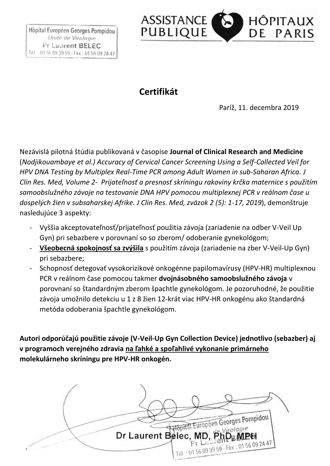

## **Certifikát**

Paríž, 11. decembra 2019

Nezávislá pilotná štúdia publikovaná v časopise **Journal of Clinical Research and Medicine** (*Nodjikouambaye et al.) Accuracy of Cervical Cancer Screening Using a Self-Collected Veil for HPV DNA Testing by Multiplex Real-Time PCR among Adult Women in sub-Saharan Africa. J Clin Res. Med, Volume 2- Prijateľnosť a presnosť skríningu rakoviny krčka maternice s použitím samoobslužného závoje na testovanie DNA HPV pomocou multiplexnej PCR v reálnom čase u dospelých žien v subsaharskej Afrike. J Clin Res. Med, zväzok 2 (5): 1-17, 2019*), demonštruje nasledujúce 3 aspekty:

- Vyššia akceptovateľnosť/prijateľnosť použitia závoja (zariadenie na odber V-Veil Up Gyn) pri sebazbere v porovnaní so so zberom/ odoberanie gynekológom;
- **Všeobecná spokojnosť sa zvýšila** s použitím závoja (zariadenie na zber V-Veil-Up Gyn) pri sebazbere;
- Schopnosť detegovať vysokorizikové onkogénne papilomavírusy (HPV-HR) multiplexnou PCR v reálnom čase pomocou takmer **dvojnásobného samoobslužného závoja** v porovnaní so štandardným zberom špachtle gynekológom. Je pozoruhodné, že použitie závoja umožnilo detekciu u 1 z 8 žien 12-krát viac HPV-HR onkogénu ako štandardná metóda odoberania špachtle gynekológom.

**Autori odporúčajú použitie závoje (V-Veil-Up Gyn Collection Device) jednotlivo (sebazber) aj v programoch verejného zdravia na ľahké a spoľahlivé vykonanie primárneho molekulárneho skríningu pre HPV-HR onkogén.**

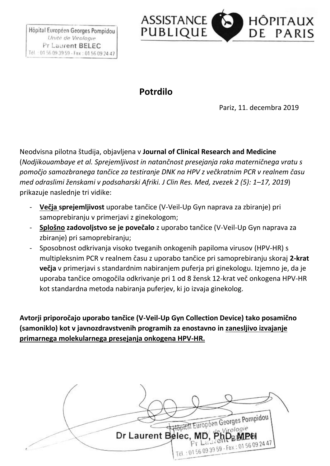

#### **Potrdilo**

Pariz, 11. decembra 2019

Neodvisna pilotna študija, objavljena v **Journal of Clinical Research and Medicine** (*Nodjikouambaye et al. Sprejemljivost in natančnost presejanja raka materničnega vratu s pomočjo samozbranega tančice za testiranje DNK na HPV z večkratnim PCR v realnem času med odraslimi ženskami v podsaharski Afriki. J Clin Res. Med, zvezek 2 (5): 1–17, 2019*) prikazuje naslednje tri vidike:

- **Večja sprejemljivost** uporabe tančice (V-Veil-Up Gyn naprava za zbiranje) pri samoprebiranju v primerjavi z ginekologom;
- **Splošno zadovoljstvo se je povečalo** z uporabo tančice (V-Veil-Up Gyn naprava za zbiranje) pri samoprebiranju;
- Sposobnost odkrivanja visoko tveganih onkogenih papiloma virusov (HPV-HR) s multipleksnim PCR v realnem času z uporabo tančice pri samoprebiranju skoraj **2-krat večja** v primerjavi s standardnim nabiranjem puferja pri ginekologu. Izjemno je, da je uporaba tančice omogočila odkrivanje pri 1 od 8 žensk 12-krat več onkogena HPV-HR kot standardna metoda nabiranja puferjev, ki jo izvaja ginekolog.

**Avtorji priporočajo uporabo tančice (V-Veil-Up Gyn Collection Device) tako posamično (samoniklo) kot v javnozdravstvenih programih za enostavno in zanesljivo izvajanje primarnega molekularnega presejanja onkogena HPV-HR.**

Hopftal Européen Georges Pompidou Virologie Dr Laurent Belec, MD, PhD Tél : 0156 09 39 59 - Fax : 01 56 09 24 47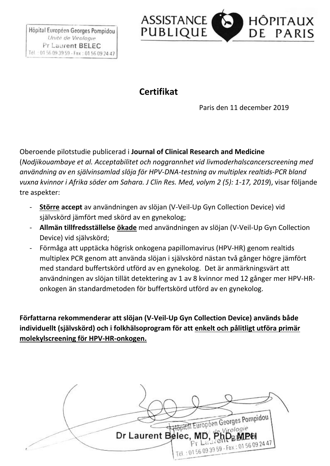

## **Certifikat**

Paris den 11 december 2019

Oberoende pilotstudie publicerad i **Journal of Clinical Research and Medicine**  (*Nodjikouambaye et al. Acceptabilitet och noggrannhet vid livmoderhalscancerscreening med användning av en självinsamlad slöja för HPV-DNA-testning av multiplex realtids-PCR bland vuxna kvinnor i Afrika söder om Sahara. J Clin Res. Med, volym 2 (5): 1-17, 2019*), visar följande tre aspekter:

- **Större accept** av användningen av slöjan (V-Veil-Up Gyn Collection Device) vid självskörd jämfört med skörd av en gynekolog;
- **Allmän tillfredsställelse ökade** med användningen av slöjan (V-Veil-Up Gyn Collection Device) vid självskörd;
- Förmåga att upptäcka högrisk onkogena papillomavirus (HPV-HR) genom realtids multiplex PCR genom att använda slöjan i självskörd nästan två gånger högre jämfört med standard buffertskörd utförd av en gynekolog. Det är anmärkningsvärt att användningen av slöjan tillät detektering av 1 av 8 kvinnor med 12 gånger mer HPV-HRonkogen än standardmetoden för buffertskörd utförd av en gynekolog.

**Författarna rekommenderar att slöjan (V-Veil-Up Gyn Collection Device) används både individuellt (självskörd) och i folkhälsoprogram för att enkelt och pålitligt utföra primär molekylscreening för HPV-HR-onkogen.**

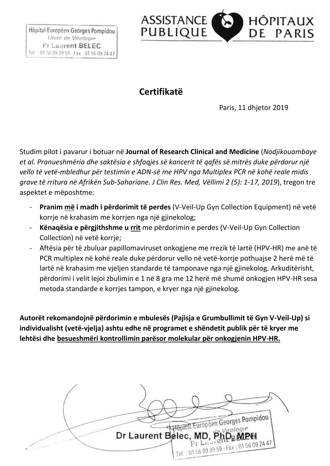

## **Certifikatë**

Paris, 11 dhjetor 2019

Studim pilot i pavarur i botuar në **Journal of Research Clinical and Medicine** (*Nodjikouambaye et al. Pranueshmëria dhe saktësia e shfaqjes së kancerit të qafës së mitrës duke përdorur një vello të vetë-mbledhur për testimin e ADN-së me HPV nga Multiplex PCR në kohë reale midis grave të rritura në Afrikën Sub-Sahariane. J Clin Res. Med, Vëllimi 2 (5): 1-17, 2019*), tregon tre aspektet e mëposhtme:

- **Pranim më i madh i përdorimit të perdes** (V-Veil-Up Gyn Collection Equipment) në vetë korrje në krahasim me korrjen nga një gjinekolog;
- **Kënaqësia e përgjithshme u rrit** me përdorimin e perdes (V-Veil-Up Gyn Collection Collection) në vetë korrje;
- Aftësia për të zbuluar papillomaviruset onkogjene me rrezik të lartë (HPV-HR) me anë të PCR multiplex në kohë reale duke përdorur vello në vetë-korrje pothuajse 2 herë më të lartë në krahasim me vjeljen standarde të tamponave nga një gjinekolog. Arkuditërisht, përdorimi i velit lejoi zbulimin e 1 në 8 gra me 12 herë më shumë onkogjen HPV-HR sesa metoda standarde e korrjes tampon, e kryer nga një gjinekolog.

**Autorët rekomandojnë përdorimin e mbulesës (Pajisja e Grumbullimit të Gyn V-Veil-Up) si individualisht (vetë-vjelja) ashtu edhe në programet e shëndetit publik për të kryer me lehtësi dhe besueshmëri kontrollimin parësor molekular për onkogjenin HPV-HR.**

Hopital Européen Georges Pompidou Virologie Dr Laurent Belec, MD, PhD<sub>B</sub>MPH Tél : 0156 09 39 59 - Fax : 01 56 09 24 47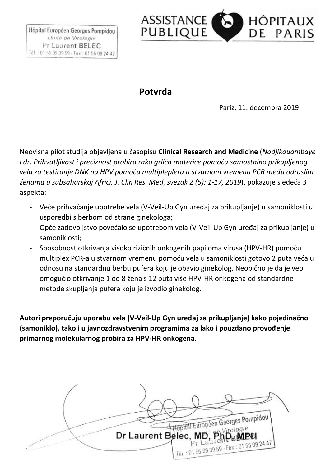

#### **Potvrda**

Pariz, 11. decembra 2019

Neovisna pilot studija objavljena u časopisu **Clinical Research and Medicine** (*Nodjikouambaye i dr. Prihvatljivost i preciznost probira raka grlića materice pomoću samostalno prikupljenog vela za testiranje DNK na HPV pomoću multipleplera u stvarnom vremenu PCR među odraslim ženama u subsaharskoj Africi. J. Clin Res. Med, svezak 2 (5): 1-17, 2019*), pokazuje sledeća 3 aspekta:

- Veće prihvaćanje upotrebe vela (V-Veil-Up Gyn uređaj za prikupljanje) u samoniklosti u usporedbi s berbom od strane ginekologa;
- Opće zadovoljstvo povećalo se upotrebom vela (V-Veil-Up Gyn uređaj za prikupljanje) u samoniklosti;
- Sposobnost otkrivanja visoko rizičnih onkogenih papiloma virusa (HPV-HR) pomoću multiplex PCR-a u stvarnom vremenu pomoću vela u samoniklosti gotovo 2 puta veća u odnosu na standardnu berbu pufera koju je obavio ginekolog. Neobično je da je veo omogućio otkrivanje 1 od 8 žena s 12 puta više HPV-HR onkogena od standardne metode skupljanja pufera koju je izvodio ginekolog.

**Autori preporučuju uporabu vela (V-Veil-Up Gyn uređaj za prikupljanje) kako pojedinačno (samoniklo), tako i u javnozdravstvenim programima za lako i pouzdano provođenje primarnog molekularnog probira za HPV-HR onkogena.**

Hopftal Europeen Georges Pompidou Dr Laurent Belec, MD, PhD Tél : 0156 09 39 59 - Fax : 01 56 09 24 47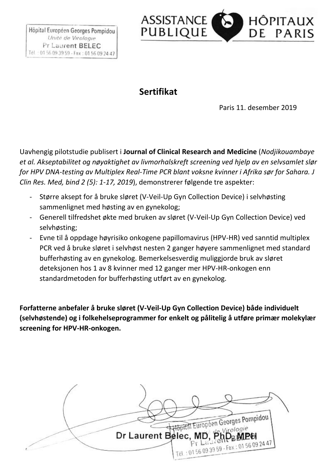

#### **Sertifikat**

Paris 11. desember 2019

Uavhengig pilotstudie publisert i **Journal of Clinical Research and Medicine** (*Nodjikouambaye et al. Akseptabilitet og nøyaktighet av livmorhalskreft screening ved hjelp av en selvsamlet slør for HPV DNA-testing av Multiplex Real-Time PCR blant voksne kvinner i Afrika sør for Sahara. J Clin Res. Med, bind 2 (5): 1-17, 2019*), demonstrerer følgende tre aspekter:

- Større aksept for å bruke sløret (V-Veil-Up Gyn Collection Device) i selvhøsting sammenlignet med høsting av en gynekolog;
- Generell tilfredshet økte med bruken av sløret (V-Veil-Up Gyn Collection Device) ved selvhøsting;
- Evne til å oppdage høyrisiko onkogene papillomavirus (HPV-HR) ved sanntid multiplex PCR ved å bruke sløret i selvhøst nesten 2 ganger høyere sammenlignet med standard bufferhøsting av en gynekolog. Bemerkelsesverdig muliggjorde bruk av sløret deteksjonen hos 1 av 8 kvinner med 12 ganger mer HPV-HR-onkogen enn standardmetoden for bufferhøsting utført av en gynekolog.

**Forfatterne anbefaler å bruke sløret (V-Veil-Up Gyn Collection Device) både individuelt (selvhøstende) og i folkehelseprogrammer for enkelt og pålitelig å utføre primær molekylær screening for HPV-HR-onkogen.**